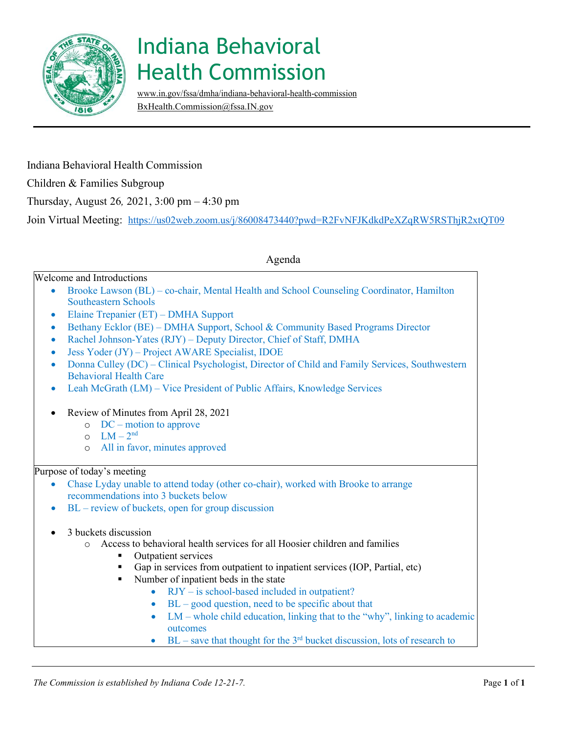

## Indiana Behavioral Health Commission

[www.in.gov/fssa/dmha/indiana-behavioral-health-commission](http://www.in.gov/fssa/dmha/indiana-behavioral-health-commission) [BxHealth.Commission@fssa.IN.gov](mailto:BxHealth.Commission@fssa.IN.gov)

Indiana Behavioral Health Commission Children & Families Subgroup Thursday, August 26*,* 2021, 3:00 pm – 4:30 pm Join Virtual Meeting: <https://us02web.zoom.us/j/86008473440?pwd=R2FvNFJKdkdPeXZqRW5RSThjR2xtQT09>

Agenda

## Welcome and Introductions

- Brooke Lawson (BL) co-chair, Mental Health and School Counseling Coordinator, Hamilton Southeastern Schools
- Elaine Trepanier (ET) DMHA Support
- Bethany Ecklor (BE) DMHA Support, School & Community Based Programs Director
- Rachel Johnson-Yates (RJY) Deputy Director, Chief of Staff, DMHA
- Jess Yoder (JY) Project AWARE Specialist, IDOE
- Donna Culley (DC) Clinical Psychologist, Director of Child and Family Services, Southwestern Behavioral Health Care
- Leah McGrath (LM) Vice President of Public Affairs, Knowledge Services
- Review of Minutes from April 28, 2021
	- o DC motion to approve
	- $O$   $LM 2<sup>nd</sup>$
	- o All in favor, m inutes approved

## Purpose of today's meeting

- Chase Lyday unable to attend today (other co-chair), worked with Brooke to arrange recommendations into 3 buckets below
- $BL$  review of buckets, open for group discussion
- 3 buckets discussion
	- o Access to behavioral health services for all Hoosier children and families
		- Outpatient services
		- Gap in services from outpatient to inpatient services (IOP, Partial, etc)
		- Number of inpatient beds in the state
			- RJY is school-based included in outpatient?
			- $BL good question, need to be specific about that$
			- $LM$  whole child education, linking that to the "why", linking to academic outcomes
			- BL save that thought for the  $3<sup>rd</sup>$  bucket discussion, lots of research to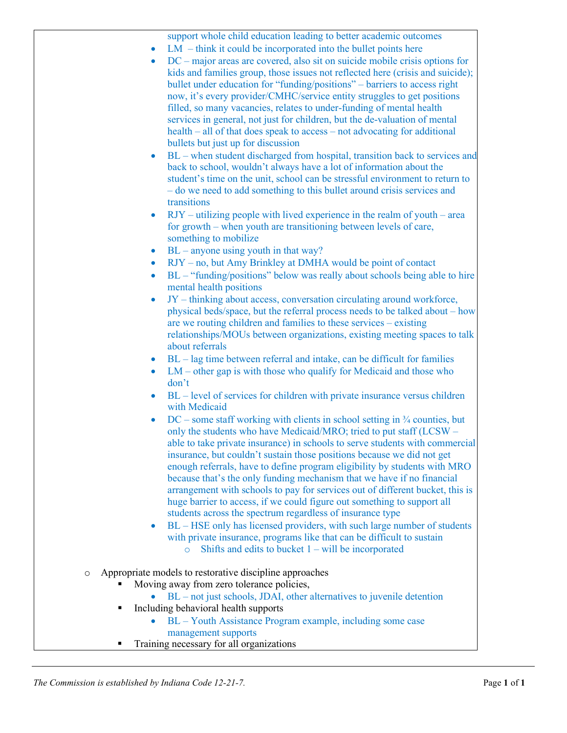support whole child education leading to better academic outcomes

- $LM think it could be incorporated into the bullet points here$
- DC major areas are covered, also sit on suicide mobile crisis options for kids and families group, those issues not reflected here (crisis and suicide); bullet under education for "funding/positions" – barriers to access right now, it's every provider/CMHC/service entity struggles to get positions filled, so many vacancies, relates to under-funding of mental health services in general, not just for children, but the de-valuation of mental health – all of that does speak to access – not advocating for additional bullets but just up for discussion
- BL when student discharged from hospital, transition back to services and back to school, wouldn't always have a lot of information about the student's time on the unit, school can be stressful environment to return to – do we need to add something to this bullet around crisis services and transitions
- $RJY utilizing people with lived experience in the realm of youth area$ for growth – when youth are transitioning between levels of care, something to mobilize
- $BL -$  anyone using youth in that way?
- RJY no, but Amy Brinkley at DMHA would be point of contact
- BL "funding/positions" below was really about schools being able to hire mental health positions
- JY thinking about access, conversation circulating around workforce, physical beds/space, but the referral process needs to be talked about – how are we routing children and families to these services – existing relationships/MOUs between organizations, existing meeting spaces to talk about referrals
- BL lag time between referral and intake, can be difficult for families
- $LM$  other gap is with those who qualify for Medicaid and those who don't
- BL level of services for children with private insurance versus children with Medicaid
- $DC$  some staff working with clients in school setting in  $\frac{3}{4}$  counties, but only the students who have Medicaid/MRO; tried to put staff (LCSW – able to take private insurance) in schools to serve students with commercial insurance, but couldn't sustain those positions because we did not get enough referrals, have to define program eligibility by students with MRO because that's the only funding mechanism that we have if no financial arrangement with schools to pay for services out of different bucket, this is huge barrier to access, if we could figure out something to support all students across the spectrum regardless of insurance type
- BL HSE only has licensed providers, with such large number of students with private insurance, programs like that can be difficult to sustain  $\circ$  Shifts and edits to bucket  $1 - \text{will}$  be incorporated
- o Appropriate models to restorative discipline approaches
	- Moving away from zero tolerance policies,
		- BL not just schools, JDAI, other alternatives to juvenile detention
	- Including behavioral health supports
		- BL Youth Assistance Program example, including some case management supports
	- Training necessary for all organizations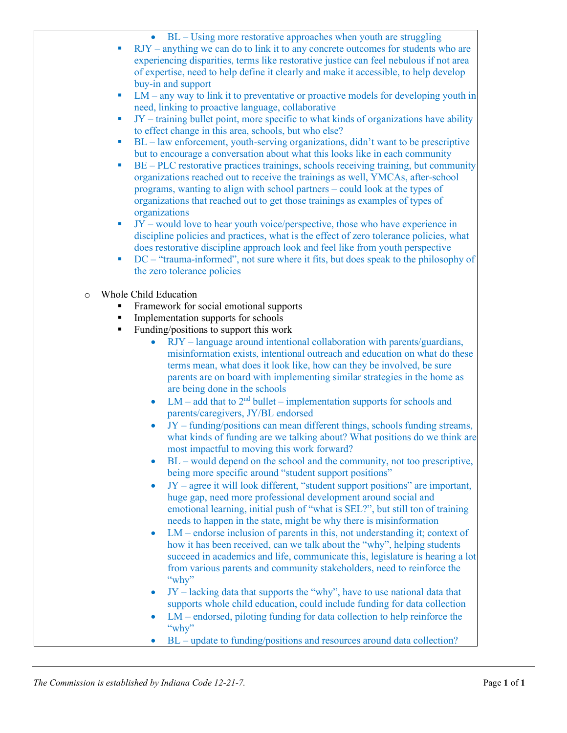- BL Using more restorative approaches when youth are struggling
- RJY anything we can do to link it to any concrete outcomes for students who are experiencing disparities, terms like restorative justice can feel nebulous if not area of expertise, need to help define it clearly and make it accessible, to help develop buy-in and support
- LM any way to link it to preventative or proactive models for developing youth in need, linking to proactive language, collaborative
- $\blacksquare$  JY training bullet point, more specific to what kinds of organizations have ability to effect change in this area, schools, but who else?
- $B_L$  law enforcement, youth-serving organizations, didn't want to be prescriptive but to encourage a conversation about what this looks like in each community
- BE PLC restorative practices trainings, schools receiving training, but community organizations reached out to receive the trainings as well, YMCAs, after-school programs, wanting to align with school partners – could look at the types of organizations that reached out to get those trainings as examples of types of organizations
- $JY$  would love to hear youth voice/perspective, those who have experience in discipline policies and practices, what is the effect of zero tolerance policies, what does restorative discipline approach look and feel like from youth perspective
- DC "trauma-informed", not sure where it fits, but does speak to the philosophy of the zero tolerance policies
- o Whole Child Education
	- Framework for social emotional supports
	- Implementation supports for schools
	- **Funding/positions to support this work** 
		- RJY language around intentional collaboration with parents/guardians, misinformation exists, intentional outreach and education on what do these terms mean, what does it look like, how can they be involved, be sure parents are on board with implementing similar strategies in the home as are being done in the schools
		- $LM add$  that to  $2<sup>nd</sup> bullet implementation supports for schools and$ parents/caregivers, JY/BL endorsed
		- $JY$  funding/positions can mean different things, schools funding streams, what kinds of funding are we talking about? What positions do we think are most impactful to moving this work forward?
		- $BL$  would depend on the school and the community, not too prescriptive, being more specific around "student support positions"
		- $JY$  agree it will look different, "student support positions" are important, huge gap, need more professional development around social and emotional learning, initial push of "what is SEL?", but still ton of training needs to happen in the state, might be why there is misinformation
		- LM endorse inclusion of parents in this, not understanding it; context of how it has been received, can we talk about the "why", helping students succeed in academics and life, communicate this, legislature is hearing a lot from various parents and community stakeholders, need to reinforce the "why"
		- JY lacking data that supports the "why", have to use national data that supports whole child education, could include funding for data collection
		- $LM$  endorsed, piloting funding for data collection to help reinforce the "why"
		- BL update to funding/positions and resources around data collection?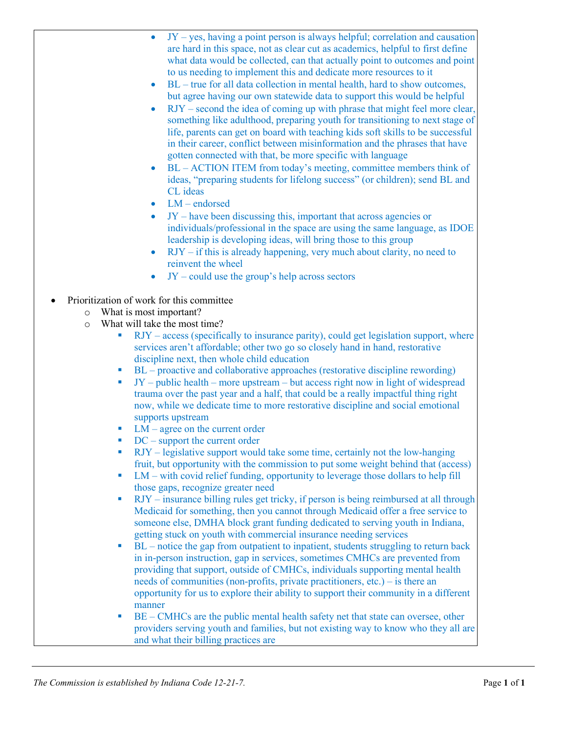- $JY yes$ , having a point person is always helpful; correlation and causation are hard in this space, not as clear cut as academics, helpful to first define what data would be collected, can that actually point to outcomes and point to us needing to implement this and dedicate more resources to it
- BL true for all data collection in mental health, hard to show outcomes, but agree having our own statewide data to support this would be helpful
- RJY second the idea of coming up with phrase that might feel more clear, something like adulthood, preparing youth for transitioning to next stage of life, parents can get on board with teaching kids soft skills to be successful in their career, conflict between misinformation and the phrases that have gotten connected with that, be more specific with language
- BL ACTION ITEM from today's meeting, committee members think of ideas, "preparing students for lifelong success" (or children); send BL and CL ideas
- $LM$  endorsed
- JY have been discussing this, important that across agencies or individuals/professional in the space are using the same language, as IDOE leadership is developing ideas, will bring those to this group
- $RJY if this is already happening, very much about clarity, no need to$ reinvent the wheel
- $JY$  could use the group's help across sectors
- Prioritization of work for this committee
	- o What is most important?
	- o What will take the most time?
		- RJY access (specifically to insurance parity), could get legislation support, where services aren't affordable; other two go so closely hand in hand, restorative discipline next, then whole child education
		- BL proactive and collaborative approaches (restorative discipline rewording)
		- JY public health more upstream but access right now in light of widespread trauma over the past year and a half, that could be a really impactful thing right now, while we dedicate time to more restorative discipline and social emotional supports upstream
		- LM agree on the current order
		- DC support the current order
		- RJY legislative support would take some time, certainly not the low-hanging fruit, but opportunity with the commission to put some weight behind that (access)
		- LM with covid relief funding, opportunity to leverage those dollars to help fill those gaps, recognize greater need
		- RJY insurance billing rules get tricky, if person is being reimbursed at all through Medicaid for something, then you cannot through Medicaid offer a free service to someone else, DMHA block grant funding dedicated to serving youth in Indiana, getting stuck on youth with commercial insurance needing services
		- BL notice the gap from outpatient to inpatient, students struggling to return back in in-person instruction, gap in services, sometimes CMHCs are prevented from providing that support, outside of CMHCs, individuals supporting mental health needs of communities (non-profits, private practitioners, etc.) – is there an opportunity for us to explore their ability to support their community in a different manner
		- BE CMHCs are the public mental health safety net that state can oversee, other providers serving youth and families, but not existing way to know who they all are and what their billing practices are